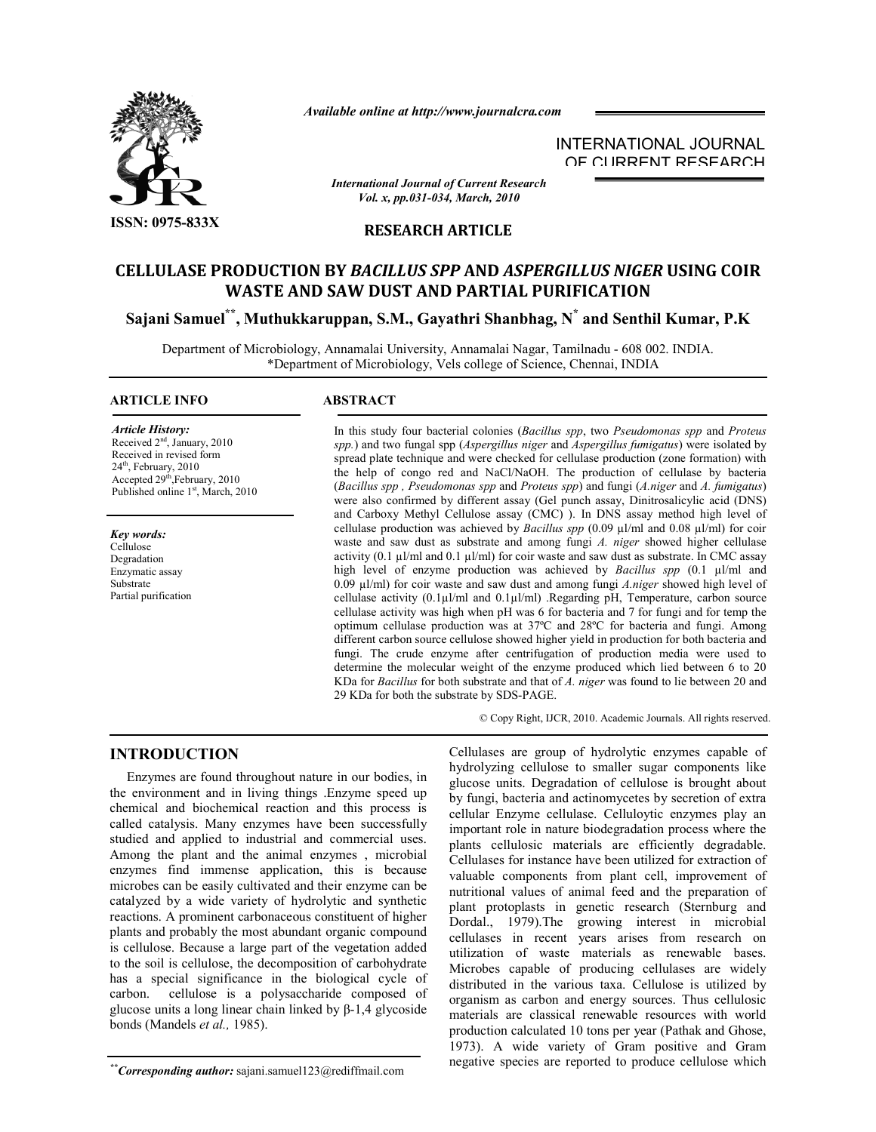

*Available online at http://www.journalcra.com*

INTERNATIONAL JOURNAL OF CURRENT RESEARCH

*International Journal of Current Research Vol. x, pp.031-034, March, 2010*

## **RESEARCH ARTICLE**

# **CELLULASE PRODUCTION BY** *BACILLUS SPP* **AND** *ASPERGILLUS NIGER* **USING COIR WASTE AND SAW DUST AND PARTIAL PURIFICATION**

**Sajani Samuel\*\* , Muthukkaruppan, S.M., Gayathri Shanbhag, N\* and Senthil Kumar, P.K**

Department of Microbiology, Annamalai University, Annamalai Nagar, Tamilnadu - 608 002. INDIA. \*Department of Microbiology, Vels college of Science, Chennai, INDIA

# **ARTICLE INFO ABSTRACT**

*Article History:* Received 2nd, January, 2010

Received in revised form  $24<sup>th</sup>$ , February,  $2010$ Accepted 29<sup>th</sup>,February, 2010 Published online 1<sup>st</sup>, March, 2010

*Key words:* Cellulose Degradation Enzymatic assay Substrate Partial purification

In this study four bacterial colonies (*Bacillus spp*, two *Pseudomonas spp* and *Proteus spp.*) and two fungal spp (*Aspergillus niger* and *Aspergillus fumigatus*) were isolated by spread plate technique and were checked for cellulase production (zone formation) with the help of congo red and NaCl/NaOH. The production of cellulase by bacteria (*Bacillus spp , Pseudomonas spp* and *Proteus spp*) and fungi (*A.niger* and *A. fumigatus*) were also confirmed by different assay (Gel punch assay, Dinitrosalicylic acid (DNS) and Carboxy Methyl Cellulose assay (CMC) ). In DNS assay method high level of cellulase production was achieved by *Bacillus spp* (0.09 µl/ml and 0.08 µl/ml) for coir waste and saw dust as substrate and among fungi *A. niger* showed higher cellulase activity (0.1  $\mu$ l/ml and 0.1  $\mu$ l/ml) for coir waste and saw dust as substrate. In CMC assay high level of enzyme production was achieved by *Bacillus spp*  $(0.1 \text{ }\mu\text{/m1}$  and 0.09 µl/ml) for coir waste and saw dust and among fungi *A.niger* showed high level of cellulase activity (0.1µl/ml and 0.1µl/ml) .Regarding pH, Temperature, carbon source cellulase activity was high when pH was 6 for bacteria and 7 for fungi and for temp the optimum cellulase production was at 37ºC and 28ºC for bacteria and fungi. Among different carbon source cellulose showed higher yield in production for both bacteria and fungi. The crude enzyme after centrifugation of production media were used to determine the molecular weight of the enzyme produced which lied between 6 to 20 KDa for *Bacillus* for both substrate and that of *A. niger* was found to lie between 20 and 29 KDa for both the substrate by SDS-PAGE.

© Copy Right, IJCR, 2010. Academic Journals. All rights reserved.

#### **INTRODUCTION** Ĩ

 Enzymes are found throughout nature in our bodies, in the environment and in living things .Enzyme speed up chemical and biochemical reaction and this process is called catalysis. Many enzymes have been successfully studied and applied to industrial and commercial uses. Among the plant and the animal enzymes , microbial enzymes find immense application, this is because microbes can be easily cultivated and their enzyme can be catalyzed by a wide variety of hydrolytic and synthetic reactions. A prominent carbonaceous constituent of higher plants and probably the most abundant organic compound is cellulose. Because a large part of the vegetation added to the soil is cellulose, the decomposition of carbohydrate has a special significance in the biological cycle of carbon. cellulose is a polysaccharide composed of glucose units a long linear chain linked by β-1,4 glycoside bonds (Mandels *et al.,* 1985).

Cellulases are group of hydrolytic enzymes capable of hydrolyzing cellulose to smaller sugar components like glucose units. Degradation of cellulose is brought about by fungi, bacteria and actinomycetes by secretion of extra cellular Enzyme cellulase. Celluloytic enzymes play an important role in nature biodegradation process where the plants cellulosic materials are efficiently degradable. Cellulases for instance have been utilized for extraction of valuable components from plant cell, improvement of nutritional values of animal feed and the preparation of plant protoplasts in genetic research (Sternburg and Dordal., 1979).The growing interest in microbial cellulases in recent years arises from research on utilization of waste materials as renewable bases. Microbes capable of producing cellulases are widely distributed in the various taxa. Cellulose is utilized by organism as carbon and energy sources. Thus cellulosic materials are classical renewable resources with world production calculated 10 tons per year (Pathak and Ghose, 1973). A wide variety of Gram positive and Gram negative species are reported to produce cellulose which

*<sup>\*\*</sup>Corresponding author:* sajani.samuel123@rediffmail.com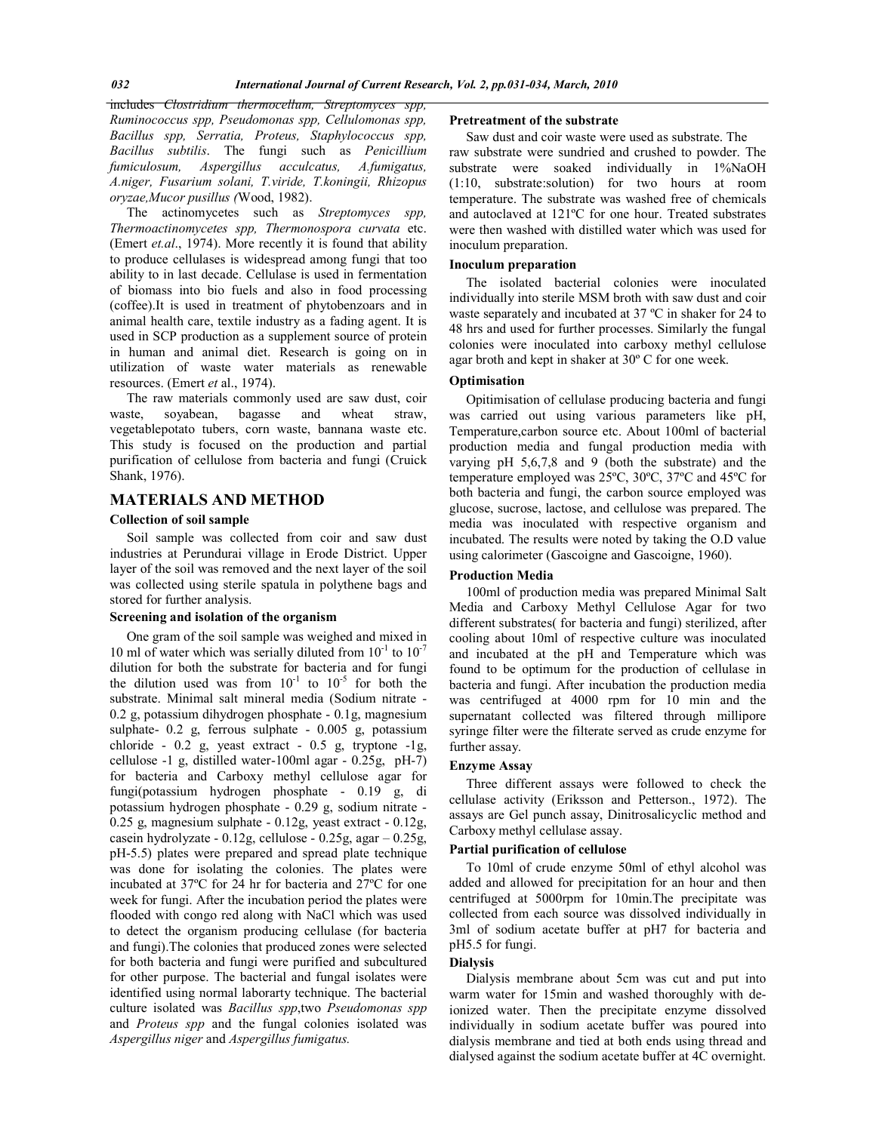includes *Clostridium thermocellum, Streptomyces spp, Ruminococcus spp, Pseudomonas spp, Cellulomonas spp, Bacillus spp, Serratia, Proteus, Staphylococcus spp, Bacillus subtilis*. The fungi such as *Penicillium fumiculosum, Aspergillus acculcatus, A.fumigatus, A.niger, Fusarium solani, T.viride, T.koningii, Rhizopus oryzae,Mucor pusillus (*Wood, 1982).

 The actinomycetes such as *Streptomyces spp, Thermoactinomycetes spp, Thermonospora curvata* etc. (Emert *et.al*., 1974). More recently it is found that ability to produce cellulases is widespread among fungi that too ability to in last decade. Cellulase is used in fermentation of biomass into bio fuels and also in food processing (coffee).It is used in treatment of phytobenzoars and in animal health care, textile industry as a fading agent. It is used in SCP production as a supplement source of protein in human and animal diet. Research is going on in utilization of waste water materials as renewable resources. (Emert *et* al., 1974).

 The raw materials commonly used are saw dust, coir waste, soyabean, bagasse and wheat straw, vegetablepotato tubers, corn waste, bannana waste etc. This study is focused on the production and partial purification of cellulose from bacteria and fungi (Cruick Shank, 1976).

# **MATERIALS AND METHOD**

#### **Collection of soil sample**

 Soil sample was collected from coir and saw dust industries at Perundurai village in Erode District. Upper layer of the soil was removed and the next layer of the soil was collected using sterile spatula in polythene bags and stored for further analysis.

# **Screening and isolation of the organism**

 One gram of the soil sample was weighed and mixed in 10 ml of water which was serially diluted from  $10^{-1}$  to  $10^{-7}$ dilution for both the substrate for bacteria and for fungi the dilution used was from  $10^{-1}$  to  $10^{-5}$  for both the substrate. Minimal salt mineral media (Sodium nitrate - 0.2 g, potassium dihydrogen phosphate - 0.1g, magnesium sulphate- 0.2 g, ferrous sulphate - 0.005 g, potassium chloride - 0.2 g, yeast extract - 0.5 g, tryptone -1g, cellulose -1 g, distilled water-100ml agar - 0.25g, pH-7) for bacteria and Carboxy methyl cellulose agar for fungi(potassium hydrogen phosphate - 0.19 g, di potassium hydrogen phosphate - 0.29 g, sodium nitrate - 0.25 g, magnesium sulphate - 0.12g, yeast extract - 0.12g, casein hydrolyzate - 0.12g, cellulose - 0.25g, agar – 0.25g, pH-5.5) plates were prepared and spread plate technique was done for isolating the colonies. The plates were incubated at 37ºC for 24 hr for bacteria and 27ºC for one week for fungi. After the incubation period the plates were flooded with congo red along with NaCl which was used to detect the organism producing cellulase (for bacteria and fungi).The colonies that produced zones were selected for both bacteria and fungi were purified and subcultured for other purpose. The bacterial and fungal isolates were identified using normal laborarty technique. The bacterial culture isolated was *Bacillus spp*,two *Pseudomonas spp*  and *Proteus spp* and the fungal colonies isolated was *Aspergillus niger* and *Aspergillus fumigatus.*

#### **Pretreatment of the substrate**

 Saw dust and coir waste were used as substrate. The raw substrate were sundried and crushed to powder. The substrate were soaked individually in 1%NaOH (1:10, substrate:solution) for two hours at room temperature. The substrate was washed free of chemicals and autoclaved at 121ºC for one hour. Treated substrates were then washed with distilled water which was used for inoculum preparation.

### **Inoculum preparation**

 The isolated bacterial colonies were inoculated individually into sterile MSM broth with saw dust and coir waste separately and incubated at 37 ºC in shaker for 24 to 48 hrs and used for further processes. Similarly the fungal colonies were inoculated into carboxy methyl cellulose agar broth and kept in shaker at 30º C for one week.

### **Optimisation**

 Opitimisation of cellulase producing bacteria and fungi was carried out using various parameters like pH, Temperature,carbon source etc. About 100ml of bacterial production media and fungal production media with varying pH 5,6,7,8 and 9 (both the substrate) and the temperature employed was 25ºC, 30ºC, 37ºC and 45ºC for both bacteria and fungi, the carbon source employed was glucose, sucrose, lactose, and cellulose was prepared. The media was inoculated with respective organism and incubated. The results were noted by taking the O.D value using calorimeter (Gascoigne and Gascoigne, 1960).

#### **Production Media**

 100ml of production media was prepared Minimal Salt Media and Carboxy Methyl Cellulose Agar for two different substrates( for bacteria and fungi) sterilized, after cooling about 10ml of respective culture was inoculated and incubated at the pH and Temperature which was found to be optimum for the production of cellulase in bacteria and fungi. After incubation the production media was centrifuged at 4000 rpm for 10 min and the supernatant collected was filtered through millipore syringe filter were the filterate served as crude enzyme for further assay.

#### **Enzyme Assay**

 Three different assays were followed to check the cellulase activity (Eriksson and Petterson., 1972). The assays are Gel punch assay, Dinitrosalicyclic method and Carboxy methyl cellulase assay.

## **Partial purification of cellulose**

 To 10ml of crude enzyme 50ml of ethyl alcohol was added and allowed for precipitation for an hour and then centrifuged at 5000rpm for 10min.The precipitate was collected from each source was dissolved individually in 3ml of sodium acetate buffer at pH7 for bacteria and pH5.5 for fungi.

# **Dialysis**

 Dialysis membrane about 5cm was cut and put into warm water for 15min and washed thoroughly with deionized water. Then the precipitate enzyme dissolved individually in sodium acetate buffer was poured into dialysis membrane and tied at both ends using thread and dialysed against the sodium acetate buffer at 4C overnight.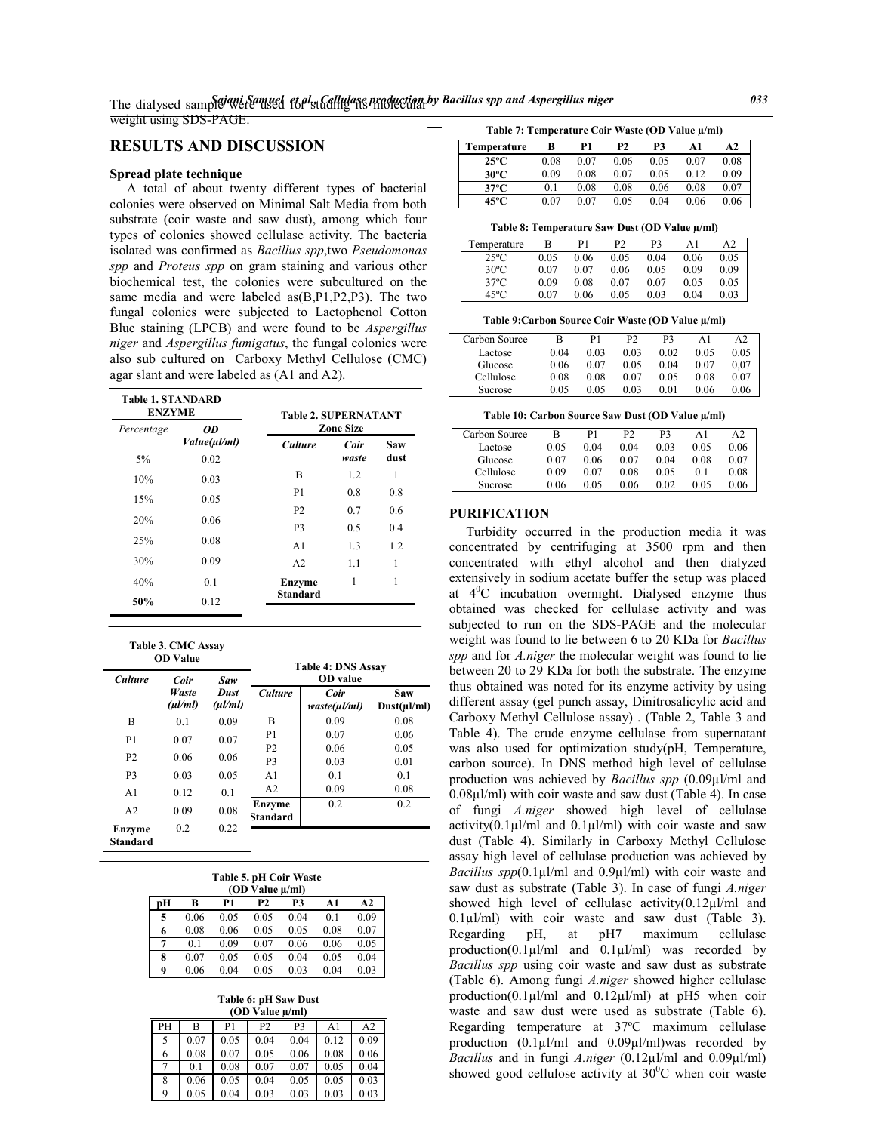# **RESULTS AND DISCUSSION**

### **Spread plate technique**

 A total of about twenty different types of bacterial colonies were observed on Minimal Salt Media from both substrate (coir waste and saw dust), among which four types of colonies showed cellulase activity. The bacteria isolated was confirmed as *Bacillus spp*,two *Pseudomonas spp* and *Proteus spp* on gram staining and various other biochemical test, the colonies were subcultured on the same media and were labeled as(B,P1,P2,P3). The two fungal colonies were subjected to Lactophenol Cotton Blue staining (LPCB) and were found to be *Aspergillus niger* and *Aspergillus fumigatus*, the fungal colonies were also sub cultured on Carboxy Methyl Cellulose (CMC) agar slant and were labeled as (A1 and A2).

| <b>Table 1. STANDARD</b><br><b>ENZYME</b> |              | <b>Table 2. SUPERNATANT</b> |                  |      |  |  |  |  |
|-------------------------------------------|--------------|-----------------------------|------------------|------|--|--|--|--|
| Percentage                                | 0D           |                             | <b>Zone Size</b> |      |  |  |  |  |
|                                           | Value(ul/ml) | <b>Culture</b>              | Coir             | Saw  |  |  |  |  |
| 5%                                        | 0.02         |                             | waste            | dust |  |  |  |  |
| 10%                                       | 0.03         | B                           | 1.2              | 1    |  |  |  |  |
| 15%                                       | 0.05         | P1                          | 0.8              | 0.8  |  |  |  |  |
|                                           |              | P <sub>2</sub>              | 0.7              | 0.6  |  |  |  |  |
| 20%                                       | 0.06         | P <sub>3</sub>              | 0.5              | 0.4  |  |  |  |  |
| 25%                                       | 0.08         | A <sub>1</sub>              | 1.3              | 1.2  |  |  |  |  |
| 30%                                       | 0.09         | A <sub>2</sub>              | 1.1              | 1    |  |  |  |  |
| 40%                                       | 0.1          | Enzyme                      | 1                | 1    |  |  |  |  |
| 50%                                       | 0.12         | <b>Standard</b>             |                  |      |  |  |  |  |

| Table 3. CMC Assay |                 |  |
|--------------------|-----------------|--|
|                    | <b>OD</b> Value |  |

| <b>Culture</b>            | Coir             | Saw                         | <b>Table 4: DNS Assay</b><br><b>OD</b> value |                           |                                |  |  |
|---------------------------|------------------|-----------------------------|----------------------------------------------|---------------------------|--------------------------------|--|--|
|                           | Waste<br>(ul/ml) | <b>Dust</b><br>$(\mu l/ml)$ | <b>Culture</b>                               | Coir<br>$waste(\mu l/ml)$ | <b>Saw</b><br>$Dust(\mu l/ml)$ |  |  |
| B                         | 0.1              | 0.09                        | B                                            | 0.09                      | 0.08                           |  |  |
| P <sub>1</sub>            | 0.07             | 0.07                        | P <sub>1</sub>                               | 0.07                      | 0.06                           |  |  |
|                           |                  |                             | P <sub>2</sub>                               | 0.06                      | 0.05                           |  |  |
| P <sub>2</sub>            | 0.06             | 0.06                        | P <sub>3</sub>                               | 0.03                      | 0.01                           |  |  |
| P <sub>3</sub>            | 0.03             | 0.05                        | A <sub>1</sub>                               | 0.1                       | 0.1                            |  |  |
| A <sub>1</sub>            | 0.12             | 0.1                         | A <sub>2</sub>                               | 0.09                      | 0.08                           |  |  |
| A <sub>2</sub>            | 0.09             | 0.08                        | Enzyme<br>Standard                           | 0.2                       | 0.2                            |  |  |
| Enzyme<br><b>Standard</b> | 0.2              | 0.22                        |                                              |                           |                                |  |  |

**Table 5. pH Coir Waste**

|    | (OD Value µ/ml) |      |                |      |      |      |  |  |  |
|----|-----------------|------|----------------|------|------|------|--|--|--|
| pН | B               | A1   | A <sub>2</sub> |      |      |      |  |  |  |
| 5  | 0.06            | 0.05 | 0.05           | 0.04 | 0.1  | 0.09 |  |  |  |
| 6  | 0.08            | 0.06 | 0.05           | 0.05 | 0.08 | 0.07 |  |  |  |
| 7  | 01              | 0.09 | 0.07           | 0.06 | 0.06 | 0.05 |  |  |  |
| 8  | 0.07            | 0.05 | 0.05           | 0.04 | 0.05 | 0.04 |  |  |  |
| 9  | 0.06            | 0.04 | 0.05           | 0.03 | 0.04 | 0.03 |  |  |  |

**Table 6: pH Saw Dust (OD Value µ/ml)**

|    | тор уаце плин |      |                |      |      |                |  |  |  |  |
|----|---------------|------|----------------|------|------|----------------|--|--|--|--|
| PH | В             | P1   | P <sub>2</sub> | P3   | A1   | A <sub>2</sub> |  |  |  |  |
| 5  | 0.07          | 0.05 | 0.04           | 0.04 | 0.12 | 0.09           |  |  |  |  |
| 6  | 0.08          | 0.07 | 0.05           | 0.06 | 0.08 | 0.06           |  |  |  |  |
| 7  | 0.1           | 0.08 | 0.07           | 0.07 | 0.05 | 0.04           |  |  |  |  |
| 8  | 0.06          | 0.05 | 0.04           | 0.05 | 0.05 | 0.03           |  |  |  |  |
| 9  | 0.05          | 0.04 | 0.03           | 0.03 | 0.03 | 0.03           |  |  |  |  |

**Table 7: Temperature Coir Waste (OD Value µ/ml)**

| Temperature    | в    | P1   | P2   | P3   | A1   | A2   |
|----------------|------|------|------|------|------|------|
| $25^{\circ}$ C | 0.08 | 0.07 | 0.06 | 0.05 | 0.07 | 0.08 |
| 30°C           | 0.09 | 0.08 | 0.07 | 0.05 | 0.12 | 0.09 |
| $37^{\circ}$ C | 0.1  | 0.08 | 0.08 | 0.06 | 0.08 | 0.07 |
| 45°C           | 0.07 | 0.07 | 0.05 | 0.04 | 0.06 | 0.06 |

**Table 8: Temperature Saw Dust (OD Value µ/ml)**

| Temperature    | в    | P1   | P <sub>2</sub> | P3   | A1   | A2   |
|----------------|------|------|----------------|------|------|------|
| $25^{\circ}$ C | 0.05 | 0.06 | 0.05           | 0.04 | 0.06 | 0.05 |
| $30^{\circ}$ C | 0.07 | 0.07 | 0.06           | 0.05 | 0.09 | 0.09 |
| $37^{\circ}$ C | 0.09 | 0.08 | 0.07           | 0.07 | 0.05 | 0.05 |
| $45^{\circ}$ C | 0.07 | 0.06 | 0.05           | 0.03 | 0.04 | 0.03 |

**Table 9:Carbon Source Coir Waste (OD Value µ/ml)**

| Carbon Source | в    | P1   | P2   | P3   | Αl   | A2   |
|---------------|------|------|------|------|------|------|
| Lactose       | 0.04 | 0.03 | 0.03 | 0.02 | 0.05 | 0.05 |
| Glucose       | 0.06 | 0.07 | 0.05 | 0.04 | 0.07 | 0.07 |
| Cellulose     | 0.08 | 0.08 | 0.07 | 0.05 | 0.08 | 0.07 |
| Sucrose       | 0.05 | 0.05 | 0.03 | 0.01 | 0.06 | 0.06 |

**Table 10: Carbon Source Saw Dust (OD Value µ/ml)**

| Carbon Source |      | Р1   | P2   | P3   | A1   | A2   |
|---------------|------|------|------|------|------|------|
| Lactose       | 0.05 | 0.04 | 0.04 | 0.03 | 0.05 | 0.06 |
| Glucose       | 0.07 | 0.06 | 0.07 | 0.04 | 0.08 | 0.07 |
| Cellulose     | 0.09 | 0.07 | 0.08 | 0.05 | 0.1  | 0.08 |
| Sucrose       | 0.06 | 0.05 | 0.06 | 0.02 | 0.05 | 0.06 |

## **PURIFICATION**

 Turbidity occurred in the production media it was concentrated by centrifuging at 3500 rpm and then concentrated with ethyl alcohol and then dialyzed extensively in sodium acetate buffer the setup was placed at  $4^{\circ}$ C incubation overnight. Dialysed enzyme thus obtained was checked for cellulase activity and was subjected to run on the SDS-PAGE and the molecular weight was found to lie between 6 to 20 KDa for *Bacillus spp* and for *A.niger* the molecular weight was found to lie between 20 to 29 KDa for both the substrate. The enzyme thus obtained was noted for its enzyme activity by using different assay (gel punch assay, Dinitrosalicylic acid and Carboxy Methyl Cellulose assay) . (Table 2, Table 3 and Table 4). The crude enzyme cellulase from supernatant was also used for optimization study(pH, Temperature, carbon source). In DNS method high level of cellulase production was achieved by *Bacillus spp* (0.09µl/ml and 0.08µl/ml) with coir waste and saw dust (Table 4). In case of fungi *A.niger* showed high level of cellulase activity( $0.1 \mu$ l/ml and  $0.1 \mu$ l/ml) with coir waste and saw dust (Table 4). Similarly in Carboxy Methyl Cellulose assay high level of cellulase production was achieved by *Bacillus spp*(0.1µl/ml and 0.9µl/ml) with coir waste and saw dust as substrate (Table 3). In case of fungi *A.niger*  showed high level of cellulase activity(0.12µl/ml and  $0.1\mu$ l/ml) with coir waste and saw dust (Table 3). Regarding pH, at pH7 maximum cellulase production(0.1µl/ml and 0.1µl/ml) was recorded by *Bacillus spp* using coir waste and saw dust as substrate (Table 6). Among fungi *A.niger* showed higher cellulase production(0.1µl/ml and 0.12µl/ml) at pH5 when coir waste and saw dust were used as substrate (Table 6). Regarding temperature at 37ºC maximum cellulase production  $(0.1\mu l/ml$  and  $0.09\mu l/ml$ )was recorded by *Bacillus* and in fungi *A.niger* (0.12µl/ml and 0.09µl/ml) showed good cellulose activity at  $30^{\circ}$ C when coir waste